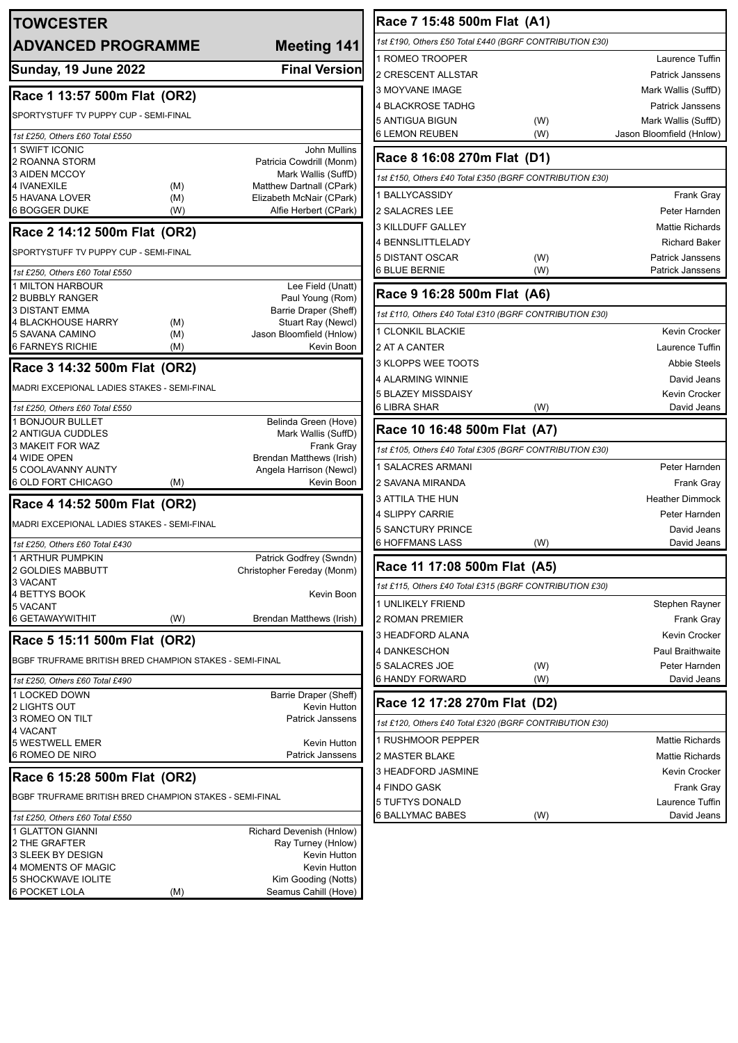| <b>TOWCESTER</b>                                        |            |                                                 | Race 7 15:48 500m Flat (A1)                             |     |                              |
|---------------------------------------------------------|------------|-------------------------------------------------|---------------------------------------------------------|-----|------------------------------|
| <b>ADVANCED PROGRAMME</b>                               |            | <b>Meeting 141</b>                              | 1st £190, Others £50 Total £440 (BGRF CONTRIBUTION £30) |     |                              |
|                                                         |            |                                                 | 1 ROMEO TROOPER                                         |     | Laurence Tuffin              |
| Sunday, 19 June 2022                                    |            | <b>Final Version</b>                            | 2 CRESCENT ALLSTAR                                      |     | <b>Patrick Janssens</b>      |
| Race 1 13:57 500m Flat (OR2)                            |            |                                                 | 3 MOYVANE IMAGE                                         |     | Mark Wallis (SuffD)          |
|                                                         |            |                                                 | 4 BLACKROSE TADHG                                       |     | <b>Patrick Janssens</b>      |
| SPORTYSTUFF TV PUPPY CUP - SEMI-FINAL                   |            |                                                 | 5 ANTIGUA BIGUN                                         | (W) | Mark Wallis (SuffD)          |
| 1st £250, Others £60 Total £550                         |            |                                                 | <b>6 LEMON REUBEN</b>                                   | (W) | Jason Bloomfield (Hnlow)     |
| 1 SWIFT ICONIC<br>2 ROANNA STORM                        |            | John Mullins<br>Patricia Cowdrill (Monm)        | Race 8 16:08 270m Flat (D1)                             |     |                              |
| <b>3 AIDEN MCCOY</b><br>4 IVANEXILE                     | (M)        | Mark Wallis (SuffD)<br>Matthew Dartnall (CPark) | 1st £150, Others £40 Total £350 (BGRF CONTRIBUTION £30) |     |                              |
| 5 HAVANA LOVER                                          | (M)        | Elizabeth McNair (CPark)                        | I BALLYCASSIDY                                          |     | Frank Gray                   |
| <b>6 BOGGER DUKE</b>                                    | (W)        | Alfie Herbert (CPark)                           | 2 SALACRES LEE                                          |     | Peter Harnden                |
| Race 2 14:12 500m Flat (OR2)                            |            |                                                 | 3 KILLDUFF GALLEY                                       |     | <b>Mattie Richards</b>       |
| SPORTYSTUFF TV PUPPY CUP - SEMI-FINAL                   |            |                                                 | 4 BENNSLITTLELADY                                       |     | <b>Richard Baker</b>         |
|                                                         |            |                                                 | 5 DISTANT OSCAR                                         | (W) | <b>Patrick Janssens</b>      |
| 1st £250, Others £60 Total £550                         |            |                                                 | <b>6 BLUE BERNIE</b>                                    | (W) | Patrick Janssens             |
| 1 MILTON HARBOUR<br>2 BUBBLY RANGER                     |            | Lee Field (Unatt)<br>Paul Young (Rom)           | Race 9 16:28 500m Flat (A6)                             |     |                              |
| <b>3 DISTANT EMMA</b>                                   |            | Barrie Draper (Sheff)                           | 1st £110, Others £40 Total £310 (BGRF CONTRIBUTION £30) |     |                              |
| 4 BLACKHOUSE HARRY                                      | (M)        | Stuart Ray (Newcl)                              | 1 CLONKIL BLACKIE                                       |     | Kevin Crocker                |
| 5 SAVANA CAMINO<br><b>6 FARNEYS RICHIE</b>              | (M)<br>(M) | Jason Bloomfield (Hnlow)<br>Kevin Boon          | 2 AT A CANTER                                           |     | Laurence Tuffin              |
|                                                         |            |                                                 | 3 KLOPPS WEE TOOTS                                      |     | <b>Abbie Steels</b>          |
| Race 3 14:32 500m Flat (OR2)                            |            |                                                 | 4 ALARMING WINNIE                                       |     | David Jeans                  |
| MADRI EXCEPIONAL LADIES STAKES - SEMI-FINAL             |            |                                                 | 5 BLAZEY MISSDAISY                                      |     | <b>Kevin Crocker</b>         |
| 1st £250, Others £60 Total £550                         |            |                                                 | <b>6 LIBRA SHAR</b>                                     | (W) | David Jeans                  |
| 1 BONJOUR BULLET                                        |            | Belinda Green (Hove)                            | Race 10 16:48 500m Flat (A7)                            |     |                              |
| 2 ANTIGUA CUDDLES<br>3 MAKEIT FOR WAZ                   |            | Mark Wallis (SuffD)<br><b>Frank Gray</b>        |                                                         |     |                              |
| 4 WIDE OPEN                                             |            | Brendan Matthews (Irish)                        | 1st £105, Others £40 Total £305 (BGRF CONTRIBUTION £30) |     |                              |
| 5 COOLAVANNY AUNTY                                      |            | Angela Harrison (Newcl)                         | 1 SALACRES ARMANI                                       |     | Peter Harnden                |
| 6 OLD FORT CHICAGO                                      | (M)        | Kevin Boon                                      | 2 SAVANA MIRANDA                                        |     | Frank Gray                   |
| Race 4 14:52 500m Flat (OR2)                            |            |                                                 | <b>3 ATTILA THE HUN</b>                                 |     | <b>Heather Dimmock</b>       |
| MADRI EXCEPIONAL LADIES STAKES - SEMI-FINAL             |            |                                                 | 4 SLIPPY CARRIE<br><b>5 SANCTURY PRINCE</b>             |     | Peter Harnden<br>David Jeans |
| 1st £250, Others £60 Total £430                         |            |                                                 | <b>6 HOFFMANS LASS</b>                                  | (W) | David Jeans                  |
| 1 ARTHUR PUMPKIN                                        |            | Patrick Godfrey (Swndn)                         |                                                         |     |                              |
| 2 GOLDIES MABBUTT                                       |            | Christopher Fereday (Monm)                      | Race 11 17:08 500m Flat (A5)                            |     |                              |
| 3 VACANT<br>4 BETTYS BOOK                               |            | Kevin Boon                                      | 1st £115, Others £40 Total £315 (BGRF CONTRIBUTION £30) |     |                              |
| 5 VACANT                                                |            |                                                 | 1 UNLIKELY FRIEND                                       |     | Stephen Rayner               |
| 6 GETAWAYWITHIT                                         | (W)        | Brendan Matthews (Irish)                        | 2 ROMAN PREMIER                                         |     | Frank Gray                   |
| Race 5 15:11 500m Flat (OR2)                            |            |                                                 | 3 HEADFORD ALANA                                        |     | <b>Kevin Crocker</b>         |
|                                                         |            |                                                 | 4 DANKESCHON                                            |     | Paul Braithwaite             |
| BGBF TRUFRAME BRITISH BRED CHAMPION STAKES - SEMI-FINAL |            |                                                 | 5 SALACRES JOE                                          | (W) | Peter Harnden                |
| 1st £250, Others £60 Total £490                         |            |                                                 | <b>6 HANDY FORWARD</b>                                  | (W) | David Jeans                  |
| 1 LOCKED DOWN<br>2 LIGHTS OUT                           |            | Barrie Draper (Sheff)<br>Kevin Hutton           | Race 12 17:28 270m Flat (D2)                            |     |                              |
| 3 ROMEO ON TILT                                         |            | <b>Patrick Janssens</b>                         | 1st £120, Others £40 Total £320 (BGRF CONTRIBUTION £30) |     |                              |
| 4 VACANT                                                |            |                                                 | 1 RUSHMOOR PEPPER                                       |     | <b>Mattie Richards</b>       |
| 5 WESTWELL EMER<br>6 ROMEO DE NIRO                      |            | Kevin Hutton<br>Patrick Janssens                | 2 MASTER BLAKE                                          |     | <b>Mattie Richards</b>       |
|                                                         |            |                                                 | 3 HEADFORD JASMINE                                      |     | Kevin Crocker                |
| Race 6 15:28 500m Flat (OR2)                            |            |                                                 | 4 FINDO GASK                                            |     | Frank Gray                   |
| BGBF TRUFRAME BRITISH BRED CHAMPION STAKES - SEMI-FINAL |            |                                                 | 5 TUFTYS DONALD                                         |     | Laurence Tuffin              |
| 1st £250, Others £60 Total £550                         |            |                                                 | <b>6 BALLYMAC BABES</b>                                 | (W) | David Jeans                  |
| 1 GLATTON GIANNI                                        |            | Richard Devenish (Hnlow)                        |                                                         |     |                              |
| 2 THE GRAFTER<br>3 SLEEK BY DESIGN                      |            | Ray Turney (Hnlow)<br>Kevin Hutton              |                                                         |     |                              |
| <b>4 MOMENTS OF MAGIC</b>                               |            | Kevin Hutton                                    |                                                         |     |                              |
| 5 SHOCKWAVE IOLITE                                      |            | Kim Gooding (Notts)                             |                                                         |     |                              |
| <b>6 POCKET LOLA</b>                                    | (M)        | Seamus Cahill (Hove)                            |                                                         |     |                              |